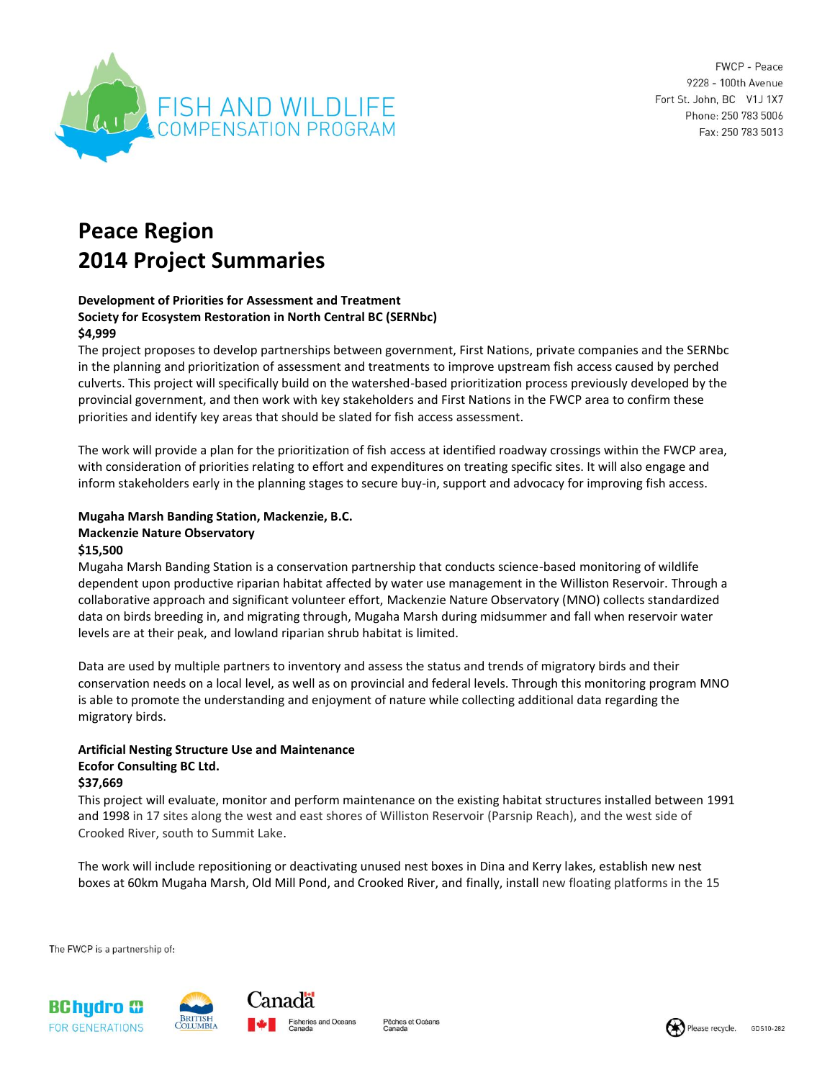

FWCP - Peace 9228 - 100th Avenue Fort St. John, BC V1J 1X7 Phone: 250 783 5006 Fax: 250 783 5013

# **Peace Region 2014 Project Summaries**

#### **Development of Priorities for Assessment and Treatment Society for Ecosystem Restoration in North Central BC (SERNbc) \$4,999**

The project proposes to develop partnerships between government, First Nations, private companies and the SERNbc in the planning and prioritization of assessment and treatments to improve upstream fish access caused by perched culverts. This project will specifically build on the watershed-based prioritization process previously developed by the provincial government, and then work with key stakeholders and First Nations in the FWCP area to confirm these priorities and identify key areas that should be slated for fish access assessment.

The work will provide a plan for the prioritization of fish access at identified roadway crossings within the FWCP area, with consideration of priorities relating to effort and expenditures on treating specific sites. It will also engage and inform stakeholders early in the planning stages to secure buy-in, support and advocacy for improving fish access.

#### **Mugaha Marsh Banding Station, Mackenzie, B.C. Mackenzie Nature Observatory \$15,500**

#### Mugaha Marsh Banding Station is a conservation partnership that conducts science-based monitoring of wildlife dependent upon productive riparian habitat affected by water use management in the Williston Reservoir. Through a collaborative approach and significant volunteer effort, Mackenzie Nature Observatory (MNO) collects standardized data on birds breeding in, and migrating through, Mugaha Marsh during midsummer and fall when reservoir water levels are at their peak, and lowland riparian shrub habitat is limited.

Data are used by multiple partners to inventory and assess the status and trends of migratory birds and their conservation needs on a local level, as well as on provincial and federal levels. Through this monitoring program MNO is able to promote the understanding and enjoyment of nature while collecting additional data regarding the migratory birds.

#### **Artificial Nesting Structure Use and Maintenance Ecofor Consulting BC Ltd. \$37,669**

This project will evaluate, monitor and perform maintenance on the existing habitat structures installed between 1991 and 1998 in 17 sites along the west and east shores of Williston Reservoir (Parsnip Reach), and the west side of Crooked River, south to Summit Lake.

The work will include repositioning or deactivating unused nest boxes in Dina and Kerry lakes, establish new nest boxes at 60km Mugaha Marsh, Old Mill Pond, and Crooked River, and finally, install new floating platforms in the 15

The FWCP is a partnership of:



Pêches et Océans